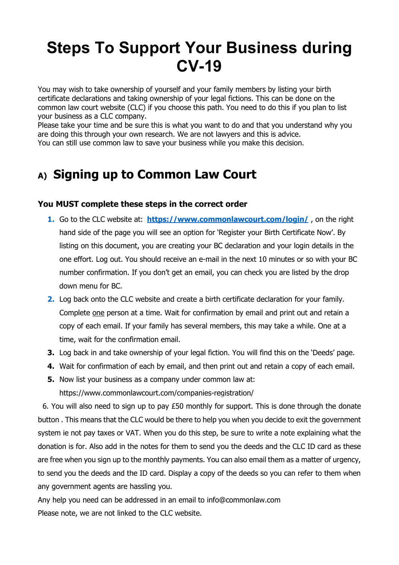# **Steps To Support Your Business during CV-19**

You may wish to take ownership of yourself and your family members by listing your birth certificate declarations and taking ownership of your legal fictions. This can be done on the common law court website (CLC) if you choose this path. You need to do this if you plan to list your business as a CLC company.

Please take your time and be sure this is what you want to do and that you understand why you are doing this through your own research. We are not lawyers and this is advice. You can still use common law to save your business while you make this decision.

# **A) Signing up to Common Law Court**

#### **You MUST complete these steps in the correct order**

- **1.** Go to the CLC website at: **<https://www.commonlawcourt.com/login/>**, on the right hand side of the page you will see an option for 'Register your Birth Certificate Now'. By listing on this document, you are creating your BC declaration and your login details in the one effort. Log out. You should receive an e-mail in the next 10 minutes or so with your BC number confirmation. If you don't get an email, you can check you are listed by the drop down menu for BC.
- **2.** Log back onto the CLC website and create a birth certificate declaration for your family. Complete one person at a time. Wait for confirmation by email and print out and retain a copy of each email. If your family has several members, this may take a while. One at a time, wait for the confirmation email.
- **3.** Log back in and take ownership of your legal fiction. You will find this on the 'Deeds' page.
- **4.** Wait for confirmation of each by email, and then print out and retain a copy of each email.
- **5.** Now list your business as a company under common law at: <https://www.commonlawcourt.com/companies-registration/>

 6. You will also need to sign up to pay £50 monthly for support. This is done through the donate button . This means that the CLC would be there to help you when you decide to exit the government system ie not pay taxes or VAT. When you do this step, be sure to write a note explaining what the donation is for. Also add in the notes for them to send you the deeds and the CLC ID card as these are free when you sign up to the monthly payments. You can also email them as a matter of urgency, to send you the deeds and the ID card. Display a copy of the deeds so you can refer to them when any government agents are hassling you.

Any help you need can be addressed in an email to [info@commonlaw.com](mailto:info@commonlaw.com) Please note, we are not linked to the CLC website.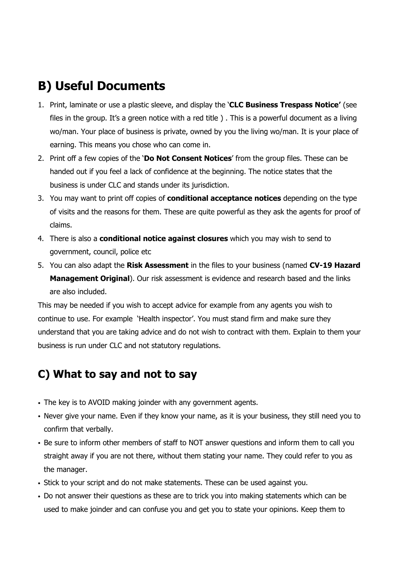## **B) Useful Documents**

- 1. Print, laminate or use a plastic sleeve, and display the '**CLC Business Trespass Notice'** (see files in the group. It's a green notice with a red title ) . This is a powerful document as a living wo/man. Your place of business is private, owned by you the living wo/man. It is your place of earning. This means you chose who can come in.
- 2. Print off a few copies of the '**Do Not Consent Notices**' from the group files. These can be handed out if you feel a lack of confidence at the beginning. The notice states that the business is under CLC and stands under its jurisdiction.
- 3. You may want to print off copies of **conditional acceptance notices** depending on the type of visits and the reasons for them. These are quite powerful as they ask the agents for proof of claims.
- 4. There is also a **conditional notice against closures** which you may wish to send to government, council, police etc
- 5. You can also adapt the **Risk Assessment** in the files to your business (named **CV-19 Hazard Management Original**). Our risk assessment is evidence and research based and the links are also included.

This may be needed if you wish to accept advice for example from any agents you wish to continue to use. For example 'Health inspector'. You must stand firm and make sure they understand that you are taking advice and do not wish to contract with them. Explain to them your business is run under CLC and not statutory regulations.

### **C) What to say and not to say**

- The key is to AVOID making joinder with any government agents.
- Never give your name. Even if they know your name, as it is your business, they still need you to confirm that verbally.
- Be sure to inform other members of staff to NOT answer questions and inform them to call you straight away if you are not there, without them stating your name. They could refer to you as the manager.
- Stick to your script and do not make statements. These can be used against you.
- Do not answer their questions as these are to trick you into making statements which can be used to make joinder and can confuse you and get you to state your opinions. Keep them to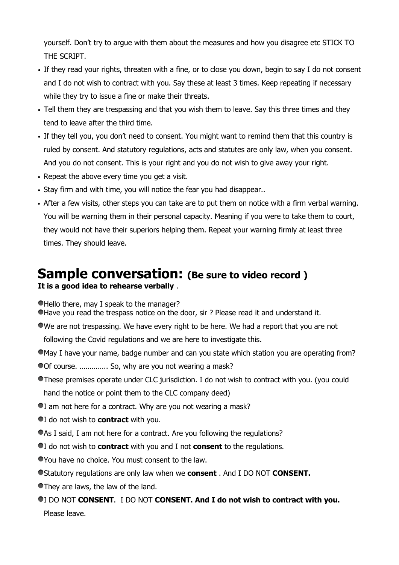yourself. Don't try to argue with them about the measures and how you disagree etc STICK TO THE SCRIPT.

- If they read your rights, threaten with a fine, or to close you down, begin to say I do not consent and I do not wish to contract with you. Say these at least 3 times. Keep repeating if necessary while they try to issue a fine or make their threats.
- Tell them they are trespassing and that you wish them to leave. Say this three times and they tend to leave after the third time.
- If they tell you, you don't need to consent. You might want to remind them that this country is ruled by consent. And statutory regulations, acts and statutes are only law, when you consent. And you do not consent. This is your right and you do not wish to give away your right.
- Repeat the above every time you get a visit.
- Stay firm and with time, you will notice the fear you had disappear..
- After a few visits, other steps you can take are to put them on notice with a firm verbal warning. You will be warning them in their personal capacity. Meaning if you were to take them to court, they would not have their superiors helping them. Repeat your warning firmly at least three times. They should leave.

#### **Sample conversation: (Be sure to video record ) It is a good idea to rehearse verbally** .

Hello there, may I speak to the manager?

- Have you read the trespass notice on the door, sir ? Please read it and understand it.
- We are not trespassing. We have every right to be here. We had a report that you are not following the Covid regulations and we are here to investigate this.
- May I have your name, badge number and can you state which station you are operating from?
- Of course. ............. So, why are you not wearing a mask?
- These premises operate under CLC jurisdiction. I do not wish to contract with you. (you could hand the notice or point them to the CLC company deed)
- I am not here for a contract. Why are you not wearing a mask?
- I do not wish to **contract** with you.
- As I said, I am not here for a contract. Are you following the regulations?
- I do not wish to **contract** with you and I not **consent** to the regulations.
- You have no choice. You must consent to the law.
- Statutory regulations are only law when we **consent** . And I DO NOT **CONSENT.**
- They are laws, the law of the land.
- I DO NOT **CONSENT**. I DO NOT **CONSENT. And I do not wish to contract with you.** Please leave.